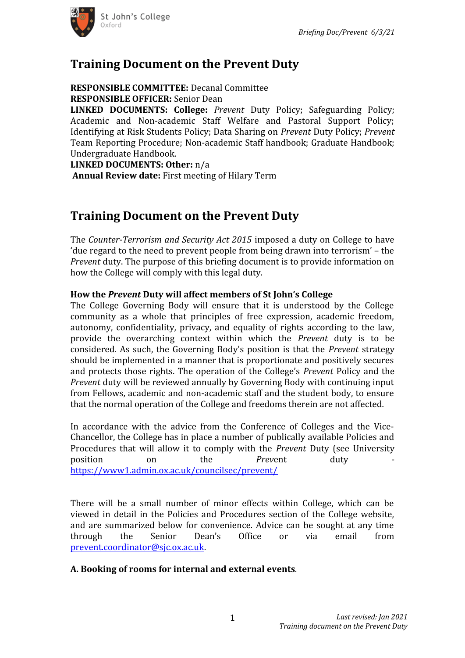

# **Training Document on the Prevent Duty**

#### **RESPONSIBLE COMMITTEE:** Decanal Committee **RESPONSIBLE OFFICER:** Senior Dean

**LINKED DOCUMENTS: College:** *Prevent* Duty Policy; Safeguarding Policy; Academic and Non-academic Staff Welfare and Pastoral Support Policy; Identifying at Risk Students Policy; Data Sharing on *Prevent* Duty Policy; *Prevent* Team Reporting Procedure; Non-academic Staff handbook; Graduate Handbook; Undergraduate Handbook.

**LINKED DOCUMENTS: Other:** n/a

 **Annual Review date:** First meeting of Hilary Term

# **Training Document on the Prevent Duty**

The *Counter-Terrorism and Security Act 2015* imposed a duty on College to have 'due regard to the need to prevent people from being drawn into terrorism' – the *Prevent* duty. The purpose of this briefing document is to provide information on how the College will comply with this legal duty.

### **How the** *Prevent* **Duty will affect members of St John's College**

The College Governing Body will ensure that it is understood by the College community as a whole that principles of free expression, academic freedom, autonomy, confidentiality, privacy, and equality of rights according to the law, provide the overarching context within which the *Prevent* duty is to be considered. As such, the Governing Body's position is that the *Prevent* strategy should be implemented in a manner that is proportionate and positively secures and protects those rights. The operation of the College's *Prevent* Policy and the *Prevent* duty will be reviewed annually by Governing Body with continuing input from Fellows, academic and non-academic staff and the student body, to ensure that the normal operation of the College and freedoms therein are not affected.

In accordance with the advice from the Conference of Colleges and the Vice-Chancellor, the College has in place a number of publically available Policies and Procedures that will allow it to comply with the *Prevent* Duty (see University position on the *Prev*ent duty <https://www1.admin.ox.ac.uk/councilsec/prevent/>

There will be a small number of minor effects within College, which can be viewed in detail in the Policies and Procedures section of the College website, and are summarized below for convenience. Advice can be sought at any time through the Senior Dean's Office or via email from [prevent.coordinator@sjc.ox.ac.uk](mailto:prevent.coordinator@sjc.ox.ac.uk).

#### **A. Booking of rooms for internal and external events***.*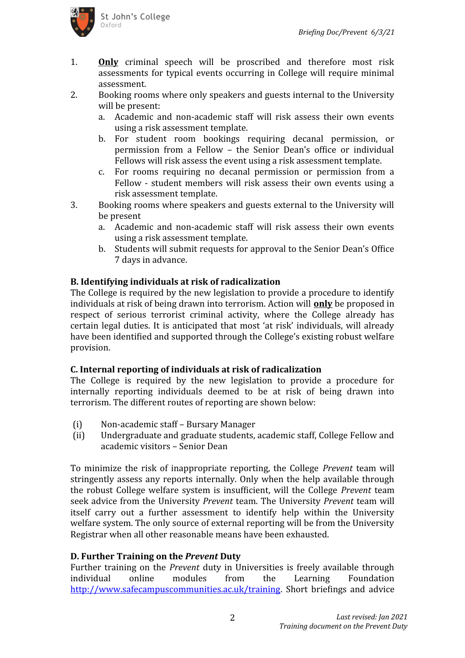

- 1. **Only** criminal speech will be proscribed and therefore most risk assessments for typical events occurring in College will require minimal assessment.
- 2. Booking rooms where only speakers and guests internal to the University will be present:
	- a. Academic and non-academic staff will risk assess their own events using a risk assessment template.
	- b. For student room bookings requiring decanal permission, or permission from a Fellow – the Senior Dean's office or individual Fellows will risk assess the event using a risk assessment template.
	- c. For rooms requiring no decanal permission or permission from a Fellow - student members will risk assess their own events using a risk assessment template.
- 3. Booking rooms where speakers and guests external to the University will be present
	- a. Academic and non-academic staff will risk assess their own events using a risk assessment template.
	- b. Students will submit requests for approval to the Senior Dean's Office 7 days in advance.

### **B. Identifying individuals at risk of radicalization**

The College is required by the new legislation to provide a procedure to identify individuals at risk of being drawn into terrorism. Action will **only** be proposed in respect of serious terrorist criminal activity, where the College already has certain legal duties. It is anticipated that most 'at risk' individuals, will already have been identified and supported through the College's existing robust welfare provision.

#### **C. Internal reporting of individuals at risk of radicalization**

The College is required by the new legislation to provide a procedure for internally reporting individuals deemed to be at risk of being drawn into terrorism. The different routes of reporting are shown below:

- (i) Non-academic staff Bursary Manager
- (ii) Undergraduate and graduate students, academic staff, College Fellow and academic visitors – Senior Dean

To minimize the risk of inappropriate reporting, the College *Prevent* team will stringently assess any reports internally. Only when the help available through the robust College welfare system is insufficient, will the College *Prevent* team seek advice from the University *Prevent* team. The University *Prevent* team will itself carry out a further assessment to identify help within the University welfare system. The only source of external reporting will be from the University Registrar when all other reasonable means have been exhausted.

#### **D. Further Training on the** *Prevent* **Duty**

Further training on the *Prevent* duty in Universities is freely available through individual online modules from the Learning Foundation <http://www.safecampuscommunities.ac.uk/training>. Short briefings and advice